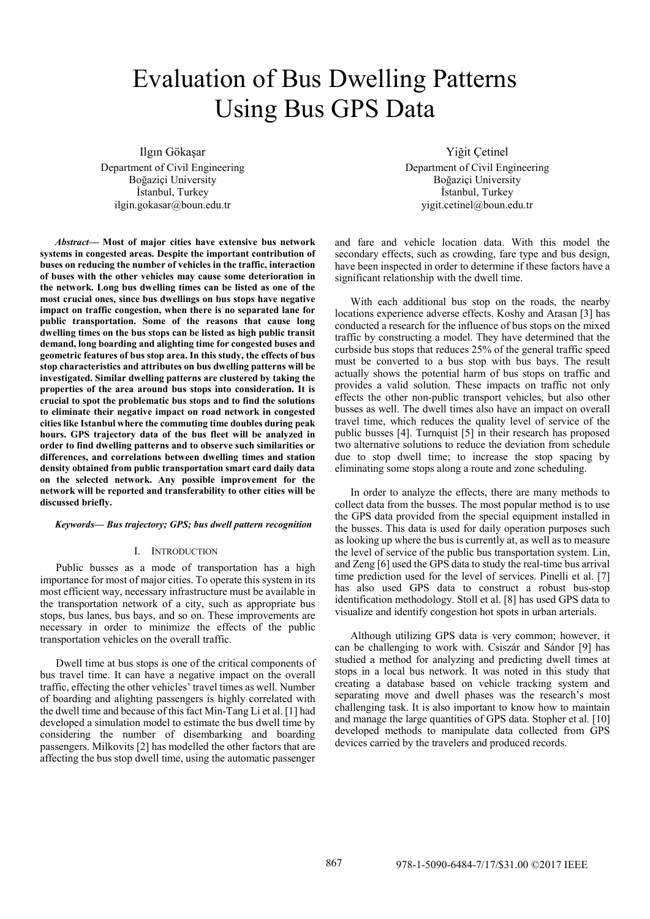# Evaluation of Bus Dwelling Patterns Using Bus GPS Data

Ilgin Gökaşar Department of Civil Engineering Boğaziçi University İstanbul, Turkey ilgin.gokasar@boun.edu.tr

*Abstract***— Most of major cities have extensive bus network systems in congested areas. Despite the important contribution of buses on reducing the number of vehicles in the traffic, interaction of buses with the other vehicles may cause some deterioration in the network. Long bus dwelling times can be listed as one of the most crucial ones, since bus dwellings on bus stops have negative impact on traffic congestion, when there is no separated lane for public transportation. Some of the reasons that cause long dwelling times on the bus stops can be listed as high public transit demand, long boarding and alighting time for congested buses and geometric features of bus stop area. In this study, the effects of bus stop characteristics and attributes on bus dwelling patterns will be investigated. Similar dwelling patterns are clustered by taking the properties of the area around bus stops into consideration. It is crucial to spot the problematic bus stops and to find the solutions to eliminate their negative impact on road network in congested cities like Istanbul where the commuting time doubles during peak hours. GPS trajectory data of the bus fleet will be analyzed in order to find dwelling patterns and to observe such similarities or differences, and correlations between dwelling times and station density obtained from public transportation smart card daily data on the selected network. Any possible improvement for the network will be reported and transferability to other cities will be discussed briefly.** 

## *Keywords— Bus trajectory; GPS; bus dwell pattern recognition*

### I. INTRODUCTION

Public busses as a mode of transportation has a high importance for most of major cities. To operate this system in its most efficient way, necessary infrastructure must be available in the transportation network of a city, such as appropriate bus stops, bus lanes, bus bays, and so on. These improvements are necessary in order to minimize the effects of the public transportation vehicles on the overall traffic.

Dwell time at bus stops is one of the critical components of bus travel time. It can have a negative impact on the overall traffic, effecting the other vehicles' travel times as well. Number of boarding and alighting passengers is highly correlated with the dwell time and because of this fact Min-Tang Li et al. [1] had developed a simulation model to estimate the bus dwell time by considering the number of disembarking and boarding passengers. Milkovits [2] has modelled the other factors that are affecting the bus stop dwell time, using the automatic passenger

Yiğit Çetinel Department of Civil Engineering Boğaziçi University İstanbul, Turkey yigit.cetinel@boun.edu.tr

and fare and vehicle location data. With this model the secondary effects, such as crowding, fare type and bus design, have been inspected in order to determine if these factors have a significant relationship with the dwell time.

With each additional bus stop on the roads, the nearby locations experience adverse effects. Koshy and Arasan [3] has conducted a research for the influence of bus stops on the mixed traffic by constructing a model. They have determined that the curbside bus stops that reduces 25% of the general traffic speed must be converted to a bus stop with bus bays. The result actually shows the potential harm of bus stops on traffic and provides a valid solution. These impacts on traffic not only effects the other non-public transport vehicles, but also other busses as well. The dwell times also have an impact on overall travel time, which reduces the quality level of service of the public busses [4]. Turnquist [5] in their research has proposed two alternative solutions to reduce the deviation from schedule due to stop dwell time; to increase the stop spacing by eliminating some stops along a route and zone scheduling.

In order to analyze the effects, there are many methods to collect data from the busses. The most popular method is to use the GPS data provided from the special equipment installed in the busses. This data is used for daily operation purposes such as looking up where the bus is currently at, as well as to measure the level of service of the public bus transportation system. Lin, and Zeng [6] used the GPS data to study the real-time bus arrival time prediction used for the level of services. Pinelli et al. [7] has also used GPS data to construct a robust bus-stop identification methodology. Stoll et al. [8] has used GPS data to visualize and identify congestion hot spots in urban arterials.

Although utilizing GPS data is very common; however, it can be challenging to work with. Csiszár and Sándor [9] has studied a method for analyzing and predicting dwell times at stops in a local bus network. It was noted in this study that creating a database based on vehicle tracking system and separating move and dwell phases was the research's most challenging task. It is also important to know how to maintain and manage the large quantities of GPS data. Stopher et al. [10] developed methods to manipulate data collected from GPS devices carried by the travelers and produced records.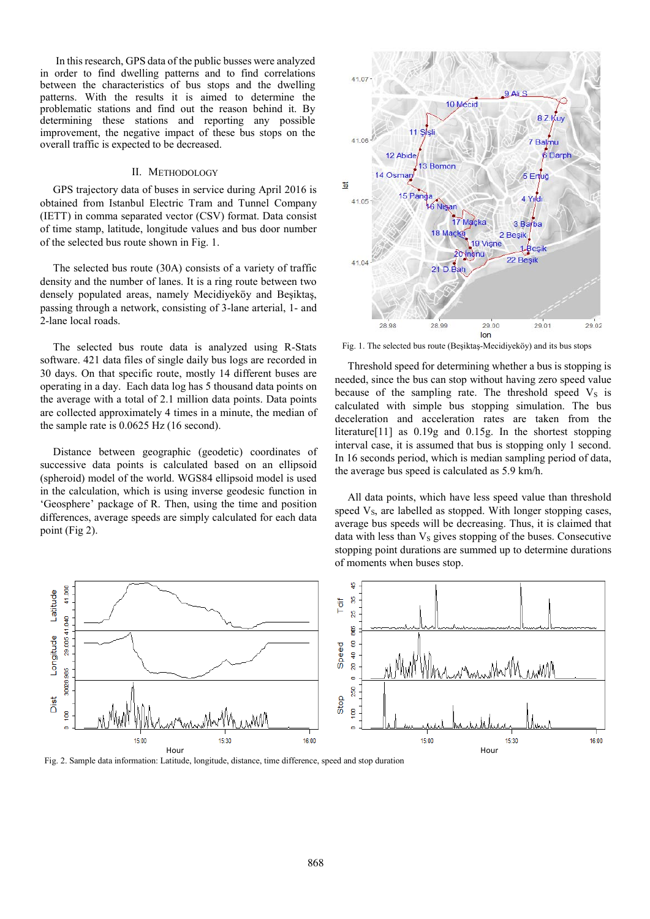in order to find dwelling patterns and to find correlations In this research, GPS data of the public busses were analyzed between the characteristics of bus stops and the dwelling patterns. With the results it is aimed to determine the problematic stations and find out the reason behind it. By determining these stations and reporting any possible improvement, the negative impact of these bus stops on the overall traffic is expected to be decreased.

# II. METHODOLOGY

GPS trajectory data of buses in service during April 2016 is obtained from Istanbul Electric Tram and Tunnel Company (IETT) in comma separated vector (CSV) format. Data consist of time stamp, latitude, longitude values and bus door number of the selected bus route shown in Fig. 1.

The selected bus route (30A) consists of a variety of traffic density and the number of lanes. It is a ring route between two densely populated areas, namely Mecidiyeköy and Besiktas, passing through a network, consisting of 3-lane arterial, 1- and 2-lane local roads.

The selected bus route data is analyzed using R-Stats software. 421 data files of single daily bus logs are recorded in 30 days. On that specific route, mostly 14 different buses are operating in a day. Each data log has 5 thousand data points on the average with a total of 2.1 million data points. Data points are collected approximately 4 times in a minute, the median of the sample rate is 0.0625 Hz (16 second).

Distance between geographic (geodetic) coordinates of successive data points is calculated based on an ellipsoid (spheroid) model of the world. WGS84 ellipsoid model is used in the calculation, which is using inverse geodesic function in 'Geosphere' package of R. Then, using the time and position differences, average speeds are simply calculated for each data point (Fig 2).



Fig. 1. The selected bus route (Beşiktaş-Mecidiyeköy) and its bus stops

Threshold speed for determining whether a bus is stopping is needed, since the bus can stop without having zero speed value because of the sampling rate. The threshold speed  $V<sub>S</sub>$  is calculated with simple bus stopping simulation. The bus deceleration and acceleration rates are taken from the literature[11] as 0.19g and 0.15g. In the shortest stopping interval case, it is assumed that bus is stopping only 1 second. In 16 seconds period, which is median sampling period of data, the average bus speed is calculated as 5.9 km/h.

All data points, which have less speed value than threshold speed  $V_s$ , are labelled as stopped. With longer stopping cases, average bus speeds will be decreasing. Thus, it is claimed that data with less than  $V<sub>S</sub>$  gives stopping of the buses. Consecutive stopping point durations are summed up to determine durations of moments when buses stop.





Fig. 2. Sample data information: Latitude, longitude, distance, time difference, speed and stop duration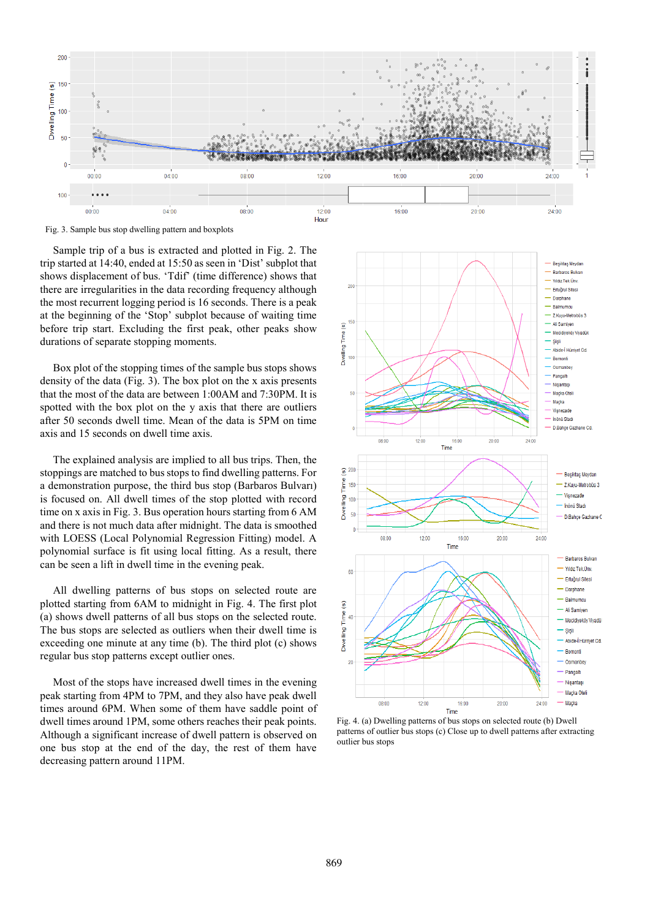

Fig. 3. Sample bus stop dwelling pattern and boxplots

Sample trip of a bus is extracted and plotted in Fig. 2. The trip started at 14:40, ended at 15:50 as seen in 'Dist' subplot that shows displacement of bus. 'Tdif' (time difference) shows that there are irregularities in the data recording frequency although the most recurrent logging period is 16 seconds. There is a peak at the beginning of the 'Stop' subplot because of waiting time before trip start. Excluding the first peak, other peaks show durations of separate stopping moments.

Box plot of the stopping times of the sample bus stops shows density of the data (Fig. 3). The box plot on the x axis presents that the most of the data are between 1:00AM and 7:30PM. It is spotted with the box plot on the y axis that there are outliers after 50 seconds dwell time. Mean of the data is 5PM on time axis and 15 seconds on dwell time axis.

The explained analysis are implied to all bus trips. Then, the stoppings are matched to bus stops to find dwelling patterns. For a demonstration purpose, the third bus stop (Barbaros Bulvari) is focused on. All dwell times of the stop plotted with record time on x axis in Fig. 3. Bus operation hours starting from 6 AM and there is not much data after midnight. The data is smoothed with LOESS (Local Polynomial Regression Fitting) model. A polynomial surface is fit using local fitting. As a result, there can be seen a lift in dwell time in the evening peak.

All dwelling patterns of bus stops on selected route are plotted starting from 6AM to midnight in Fig. 4. The first plot (a) shows dwell patterns of all bus stops on the selected route. The bus stops are selected as outliers when their dwell time is exceeding one minute at any time (b). The third plot (c) shows regular bus stop patterns except outlier ones.

Most of the stops have increased dwell times in the evening peak starting from 4PM to 7PM, and they also have peak dwell times around 6PM. When some of them have saddle point of dwell times around 1PM, some others reaches their peak points. Although a significant increase of dwell pattern is observed on one bus stop at the end of the day, the rest of them have decreasing pattern around 11PM.



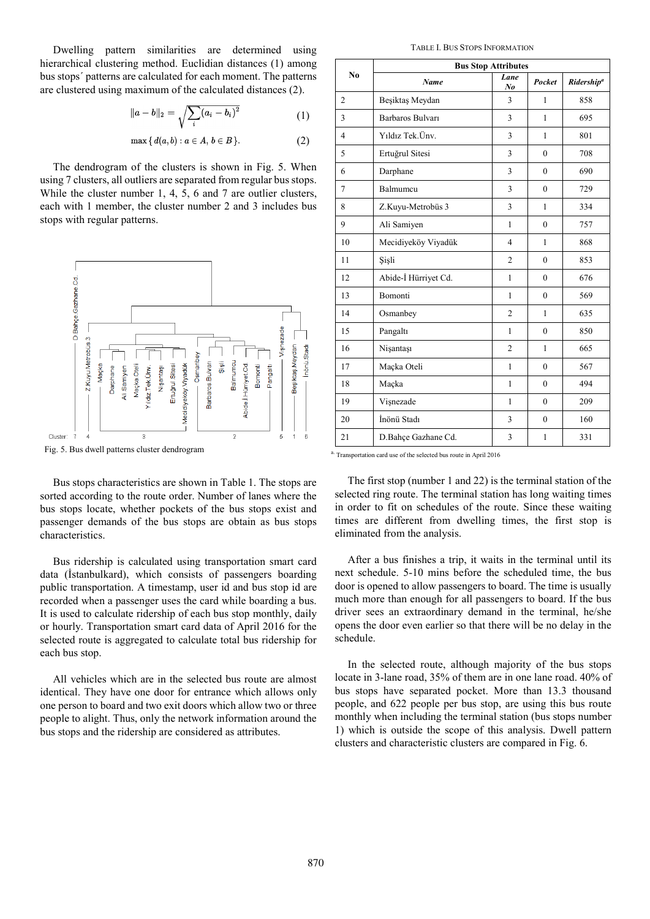bus stops' patterns are calculated for each moment. The patterns bus stops' patterns are calculated for each moment. The patterns Dwelling pattern similarities are determined using hierarchical clustering method. Euclidian distances (1) among are clustered using maximum of the calculated distances (2).

$$
|a - b||_2 = \sqrt{\sum_i (a_i - b_i)^2}
$$
 (1)

$$
\max\{d(a,b):a\in A,\,b\in B\}.\tag{2}
$$

The dendrogram of the clusters is shown in Fig. 5. When using 7 clusters, all outliers are separated from regular bus stops. While the cluster number 1, 4, 5, 6 and 7 are outlier clusters, each with 1 member, the cluster number 2 and 3 includes bus stops with regular patterns.



Fig. 5. Bus dwell patterns cluster dendrogram

Bus stops characteristics are shown in Table 1. The stops are sorted according to the route order. Number of lanes where the bus stops locate, whether pockets of the bus stops exist and passenger demands of the bus stops are obtain as bus stops characteristics.

Bus ridership is calculated using transportation smart card data (Istanbulkard), which consists of passengers boarding public transportation. A timestamp, user id and bus stop id are recorded when a passenger uses the card while boarding a bus. It is used to calculate ridership of each bus stop monthly, daily or hourly. Transportation smart card data of April 2016 for the selected route is aggregated to calculate total bus ridership for each bus stop.

All vehicles which are in the selected bus route are almost identical. They have one door for entrance which allows only one person to board and two exit doors which allow two or three people to alight. Thus, only the network information around the bus stops and the ridership are considered as attributes.

#### TABLE I. BUS STOPS INFORMATION

| N <sub>0</sub>           | <b>Bus Stop Attributes</b> |                        |              |                        |
|--------------------------|----------------------------|------------------------|--------------|------------------------|
|                          | Name                       | Lane<br>N <sub>o</sub> | Pocket       | Ridership <sup>a</sup> |
| $\overline{2}$           | Beşiktaş Meydan            | 3                      | 1            | 858                    |
| 3                        | Barbaros Bulvarı           | 3                      | $\mathbf{1}$ | 695                    |
| $\overline{\mathcal{L}}$ | Yıldız Tek.Ünv.            | 3                      | $\mathbf{1}$ | 801                    |
| 5                        | Ertuğrul Sitesi            | 3                      | $\theta$     | 708                    |
| 6                        | Darphane                   | 3                      | $\theta$     | 690                    |
| $\overline{7}$           | Balmumcu                   | 3                      | $\theta$     | 729                    |
| 8                        | Z.Kuyu-Metrobüs 3          | 3                      | 1            | 334                    |
| 9                        | Ali Samiyen                | $\mathbf{1}$           | $\mathbf{0}$ | 757                    |
| 10                       | Mecidiyeköy Viyadük        | 4                      | 1            | 868                    |
| 11                       | Sişli                      | $\overline{2}$         | $\theta$     | 853                    |
| 12                       | Abide-İ Hürriyet Cd.       | 1                      | $\theta$     | 676                    |
| 13                       | Bomonti                    | 1                      | $\theta$     | 569                    |
| 14                       | Osmanbey                   | $\overline{2}$         | 1            | 635                    |
| 15                       | Pangaltı                   | 1                      | $\theta$     | 850                    |
| 16                       | Nişantaşı                  | $\overline{2}$         | 1            | 665                    |
| 17                       | Maçka Oteli                | 1                      | $\mathbf{0}$ | 567                    |
| 18                       | Maçka                      | 1                      | $\theta$     | 494                    |
| 19                       | Visnezade                  | 1                      | $\theta$     | 209                    |
| 20                       | İnönü Stadı                | 3                      | $\theta$     | 160                    |
| 21                       | D.Bahçe Gazhane Cd.        | 3                      | $\mathbf{1}$ | 331                    |

a. Transportation card use of the selected bus route in April 2016

The first stop (number 1 and 22) is the terminal station of the selected ring route. The terminal station has long waiting times in order to fit on schedules of the route. Since these waiting times are different from dwelling times, the first stop is eliminated from the analysis.

After a bus finishes a trip, it waits in the terminal until its next schedule. 5-10 mins before the scheduled time, the bus door is opened to allow passengers to board. The time is usually much more than enough for all passengers to board. If the bus driver sees an extraordinary demand in the terminal, he/she opens the door even earlier so that there will be no delay in the schedule.

In the selected route, although majority of the bus stops locate in 3-lane road, 35% of them are in one lane road. 40% of bus stops have separated pocket. More than 13.3 thousand people, and 622 people per bus stop, are using this bus route monthly when including the terminal station (bus stops number 1) which is outside the scope of this analysis. Dwell pattern clusters and characteristic clusters are compared in Fig. 6.